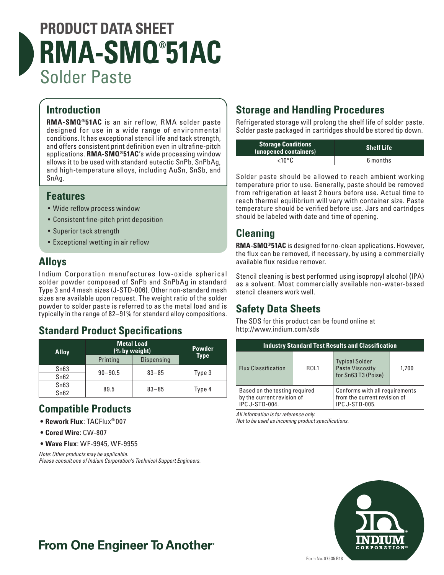# **PRODUCT DATA SHEET RMA-SMQ® 51AC** Solder Paste

#### **Introduction**

**RMA-SMQ®51AC** is an air reflow, RMA solder paste designed for use in a wide range of environmental conditions. It has exceptional stencil life and tack strength, and offers consistent print definition even in ultrafine-pitch applications. **RMA-SMQ®51AC**'s wide processing window allows it to be used with standard eutectic SnPb, SnPbAg, and high-temperature alloys, including AuSn, SnSb, and SnAg.

#### **Features**

- Wide reflow process window
- Consistent fine-pitch print deposition
- Superior tack strength
- Exceptional wetting in air reflow

## **Alloys**

Indium Corporation manufactures low-oxide spherical solder powder composed of SnPb and SnPbAg in standard Type 3 and 4 mesh sizes (J-STD-006). Other non-standard mesh sizes are available upon request. The weight ratio of the solder powder to solder paste is referred to as the metal load and is typically in the range of 82–91% for standard alloy compositions.

#### **Standard Product Specifications**

| <b>Alloy</b> | <b>Metal Load</b><br>(% by weight) |                   | <b>Powder</b> |
|--------------|------------------------------------|-------------------|---------------|
|              | Printing                           | <b>Dispensing</b> | <b>Type</b>   |
| Sn63         | $90 - 90.5$                        | $83 - 85$         | Type 3        |
| Sn62         |                                    |                   |               |
| Sn63         | 89.5                               | $83 - 85$         |               |
| Sn62         |                                    |                   | Type 4        |

#### **Compatible Products**

- **• Rework Flux**: TACFlux® 007
- **• Cored Wire**: CW-807
- **• Wave Flux**: WF-9945, WF-9955

*Note: Other products may be applicable. Please consult one of Indium Corporation's Technical Support Engineers.*

## **Storage and Handling Procedures**

Refrigerated storage will prolong the shelf life of solder paste. Solder paste packaged in cartridges should be stored tip down.

| <b>Storage Conditions</b><br>(unopened containers) | <b>Shelf Life</b> |  |
|----------------------------------------------------|-------------------|--|
| <10°C                                              | 6 months          |  |

Solder paste should be allowed to reach ambient working temperature prior to use. Generally, paste should be removed from refrigeration at least 2 hours before use. Actual time to reach thermal equilibrium will vary with container size. Paste temperature should be verified before use. Jars and cartridges should be labeled with date and time of opening.

## **Cleaning**

**RMA-SMQ®51AC** is designed for no-clean applications. However, the flux can be removed, if necessary, by using a commercially available flux residue remover.

Stencil cleaning is best performed using isopropyl alcohol (IPA) as a solvent. Most commercially available non-water-based stencil cleaners work well.

## **Safety Data Sheets**

The SDS for this product can be found online at http://www.indium.com/sds

| <b>Industry Standard Test Results and Classification</b>                             |             |                                                                                         |       |  |  |
|--------------------------------------------------------------------------------------|-------------|-----------------------------------------------------------------------------------------|-------|--|--|
| <b>Flux Classification</b>                                                           | <b>ROL1</b> | <b>Typical Solder</b><br><b>Paste Viscosity</b><br>for Sn63 T3 (Poise)                  | 1,700 |  |  |
| Based on the testing required<br>by the current revision of<br><b>IPC J-STD-004.</b> |             | Conforms with all requirements<br>from the current revision of<br><b>IPC J-STD-005.</b> |       |  |  |

*All information is for reference only.* 

*Not to be used as incoming product specifications.*



# **From One Engineer To Another**